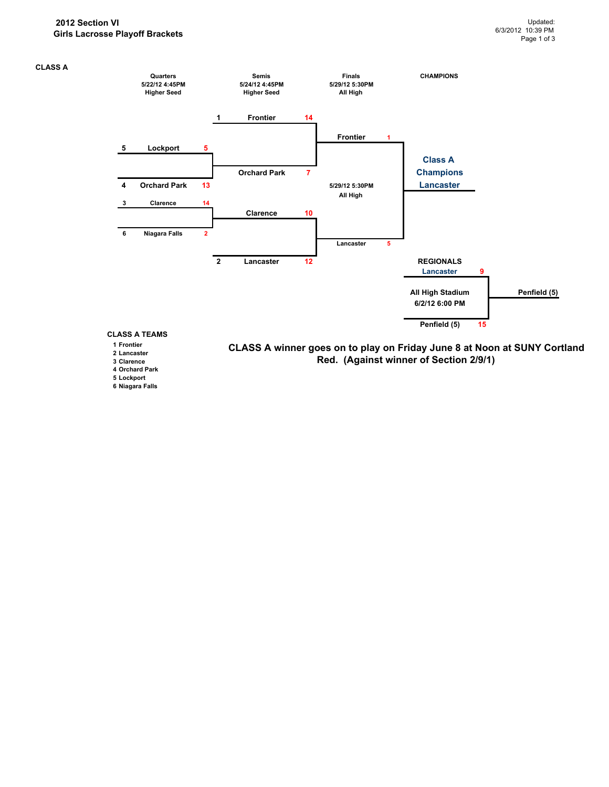

## **1 Frontier**

- **2 Lancaster**
- **3 Clarence**
- **4 Orchard Park**
- **5 Lockport**
- **6 Niagara Falls**

**CLASS A winner goes on to play on Friday June 8 at Noon at SUNY Cortland Red. (Against winner of Section 2/9/1)**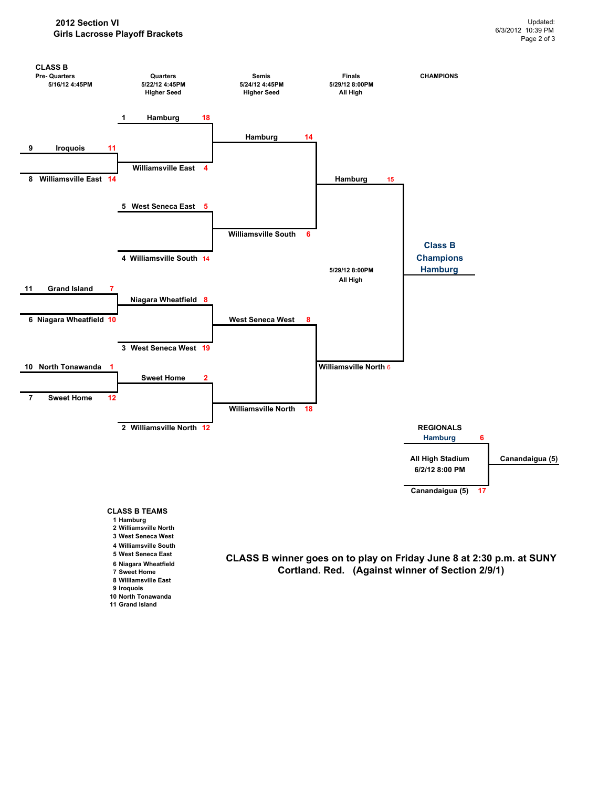**11 Grand Island**